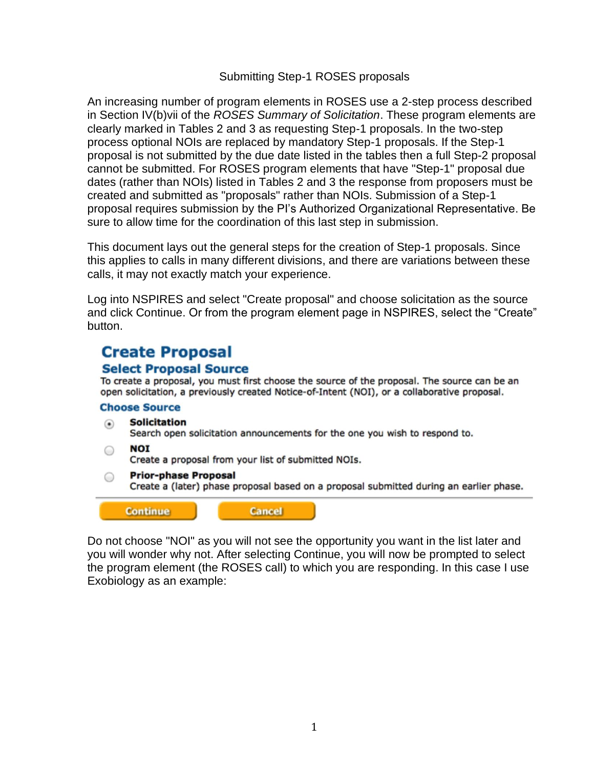# Submitting Step-1 ROSES proposals

An increasing number of program elements in ROSES use a 2-step process described in Section IV(b)vii of the *ROSES Summary of Solicitation*. These program elements are clearly marked in Tables 2 and 3 as requesting Step-1 proposals. In the two-step process optional NOIs are replaced by mandatory Step-1 proposals. If the Step-1 proposal is not submitted by the due date listed in the tables then a full Step-2 proposal cannot be submitted. For ROSES program elements that have "Step-1" proposal due dates (rather than NOIs) listed in Tables 2 and 3 the response from proposers must be created and submitted as "proposals" rather than NOIs. Submission of a Step-1 proposal requires submission by the PI's Authorized Organizational Representative. Be sure to allow time for the coordination of this last step in submission.

This document lays out the general steps for the creation of Step-1 proposals. Since this applies to calls in many different divisions, and there are variations between these calls, it may not exactly match your experience.

Log into NSPIRES and select "Create proposal" and choose solicitation as the source and click Continue. Or from the program element page in NSPIRES, select the "Create" button.

# **Create Proposal**

# **Select Proposal Source**

To create a proposal, you must first choose the source of the proposal. The source can be an open solicitation, a previously created Notice-of-Intent (NOI), or a collaborative proposal.

## **Choose Source**

- **Solicitation** ⊙ Search open solicitation announcements for the one you wish to respond to.
- **NOI**  $\circ$

Create a proposal from your list of submitted NOIs.

#### **Prior-phase Proposal**  $\circ$

Create a (later) phase proposal based on a proposal submitted during an earlier phase.



**Cancel** 

Do not choose "NOI" as you will not see the opportunity you want in the list later and you will wonder why not. After selecting Continue, you will now be prompted to select the program element (the ROSES call) to which you are responding. In this case I use Exobiology as an example: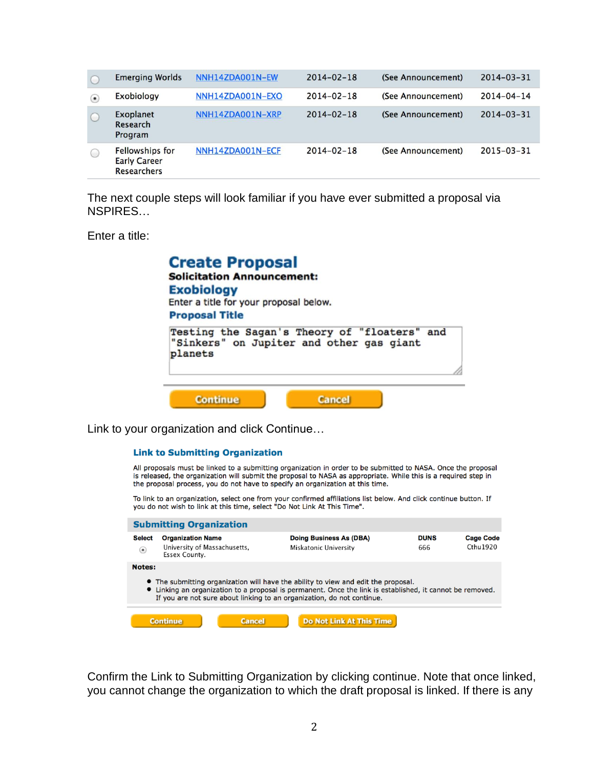|             | <b>Emerging Worlds</b>                                              | NNH14ZDA001N-EW  | $2014 - 02 - 18$ | (See Announcement) | $2014 - 03 - 31$ |
|-------------|---------------------------------------------------------------------|------------------|------------------|--------------------|------------------|
| $(\bullet)$ | Exobiology                                                          | NNH14ZDA001N-EXO | $2014 - 02 - 18$ | (See Announcement) | $2014 - 04 - 14$ |
| $\bigcirc$  | <b>Exoplanet</b><br>Research<br>Program                             | NNH14ZDA001N-XRP | $2014 - 02 - 18$ | (See Announcement) | $2014 - 03 - 31$ |
| O           | <b>Fellowships for</b><br><b>Early Career</b><br><b>Researchers</b> | NNH14ZDA001N-ECF | $2014 - 02 - 18$ | (See Announcement) | $2015 - 03 - 31$ |

The next couple steps will look familiar if you have ever submitted a proposal via NSPIRES…

Enter a title:

| <b>Create Proposal</b><br><b>Solicitation Announcement:</b><br><b>Exobiology</b><br>Enter a title for your proposal below.   |  |
|------------------------------------------------------------------------------------------------------------------------------|--|
| <b>Proposal Title</b><br>Testing the Sagan's Theory of "floaters" and<br>"Sinkers" on Jupiter and other gas giant<br>planets |  |
| <b>Continue</b><br><b>Cancel</b>                                                                                             |  |

Link to your organization and click Continue…

#### **Link to Submitting Organization**

All proposals must be linked to a submitting organization in order to be submitted to NASA. Once the proposal is released, the organization will submit the proposal to NASA as appropriate. While this is a required step in the proposal process, you do not have to specify an organization at this time.

To link to an organization, select one from your confirmed affiliations list below. And click continue button. If<br>you do not wish to link at this time, select "Do Not Link At This Time".

| <b>Submitting Organization</b>                                                                                                                                                                                                                                                             |                                                                           |               |                                                  |                    |                                  |  |
|--------------------------------------------------------------------------------------------------------------------------------------------------------------------------------------------------------------------------------------------------------------------------------------------|---------------------------------------------------------------------------|---------------|--------------------------------------------------|--------------------|----------------------------------|--|
| <b>Select</b><br>$\left( \bullet \right)$                                                                                                                                                                                                                                                  | <b>Organization Name</b><br>University of Massachusetts,<br>Essex County. |               | Doing Business As (DBA)<br>Miskatonic University | <b>DUNS</b><br>666 | <b>Cage Code</b><br>$C$ thu 1920 |  |
| <b>Notes:</b><br>• The submitting organization will have the ability to view and edit the proposal.<br>• Linking an organization to a proposal is permanent. Once the link is established, it cannot be removed.<br>If you are not sure about linking to an organization, do not continue. |                                                                           |               |                                                  |                    |                                  |  |
|                                                                                                                                                                                                                                                                                            | <b>Continue</b>                                                           | <b>Cancel</b> | Do Not Link At This Time                         |                    |                                  |  |

Confirm the Link to Submitting Organization by clicking continue. Note that once linked, you cannot change the organization to which the draft proposal is linked. If there is any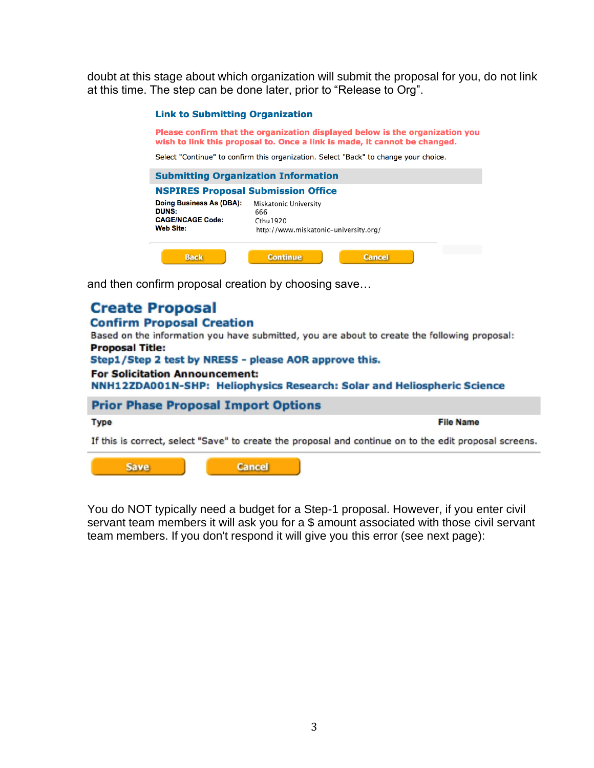doubt at this stage about which organization will submit the proposal for you, do not link at this time. The step can be done later, prior to "Release to Org".

#### **Link to Submitting Organization**

Please confirm that the organization displayed below is the organization you wish to link this proposal to. Once a link is made, it cannot be changed.

Select "Continue" to confirm this organization. Select "Back" to change your choice.

| <b>Submitting Organization Information</b>                                              |                                                                                    |               |  |  |
|-----------------------------------------------------------------------------------------|------------------------------------------------------------------------------------|---------------|--|--|
| <b>NSPIRES Proposal Submission Office</b>                                               |                                                                                    |               |  |  |
| Doing Business As (DBA):<br><b>DUNS:</b><br><b>CAGE/NCAGE Code:</b><br><b>Web Site:</b> | Miskatonic University<br>666<br>Cthu 1920<br>http://www.miskatonic-university.org/ |               |  |  |
| <b>Back</b>                                                                             | <b>Continue</b>                                                                    | <b>Cancel</b> |  |  |

and then confirm proposal creation by choosing save...

# **Create Proposal**

### **Confirm Proposal Creation**

Based on the information you have submitted, you are about to create the following proposal: **Proposal Title:** 

Step1/Step 2 test by NRESS - please AOR approve this.

#### **For Solicitation Announcement:**

NNH12ZDA001N-SHP: Heliophysics Research: Solar and Heliospheric Science

### **Prior Phase Proposal Import Options**

#### **Type**

**File Name** 

If this is correct, select "Save" to create the proposal and continue on to the edit proposal screens.

**Save** 

**Cancel** 

You do NOT typically need a budget for a Step-1 proposal. However, if you enter civil servant team members it will ask you for a \$ amount associated with those civil servant team members. If you don't respond it will give you this error (see next page):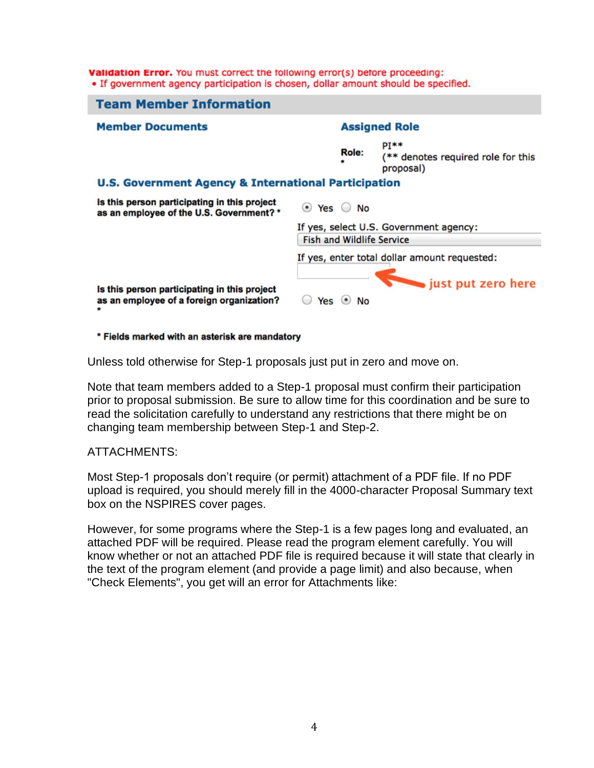Validation Error. You must correct the following error(s) before proceeding: • If government agency participation is chosen, dollar amount should be specified.



#### \* Fields marked with an asterisk are mandatory

Unless told otherwise for Step-1 proposals just put in zero and move on.

Note that team members added to a Step-1 proposal must confirm their participation prior to proposal submission. Be sure to allow time for this coordination and be sure to read the solicitation carefully to understand any restrictions that there might be on changing team membership between Step-1 and Step-2.

## ATTACHMENTS:

Most Step-1 proposals don't require (or permit) attachment of a PDF file. If no PDF upload is required, you should merely fill in the 4000-character Proposal Summary text box on the NSPIRES cover pages.

However, for some programs where the Step-1 is a few pages long and evaluated, an attached PDF will be required. Please read the program element carefully. You will know whether or not an attached PDF file is required because it will state that clearly in the text of the program element (and provide a page limit) and also because, when "Check Elements", you get will an error for Attachments like: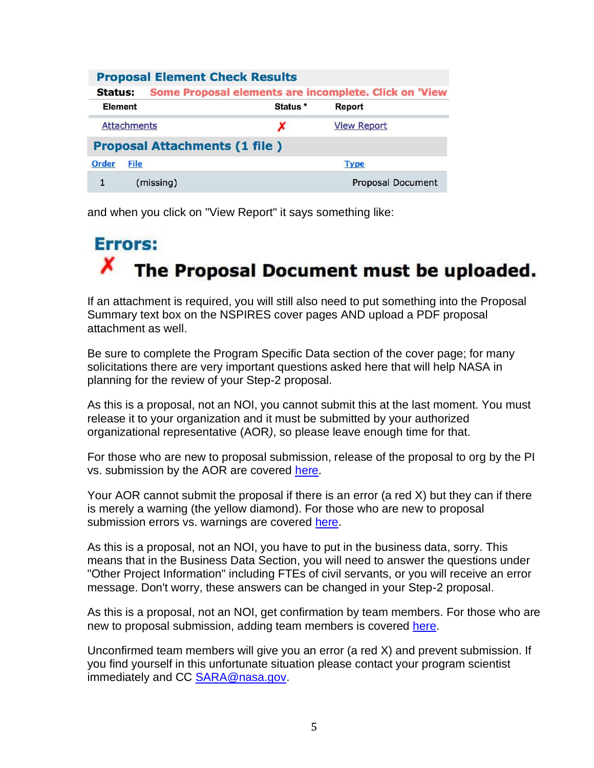|                                                                  | <b>Proposal Element Check Results</b> |                     |                    |  |
|------------------------------------------------------------------|---------------------------------------|---------------------|--------------------|--|
| Some Proposal elements are incomplete. Click on 'View<br>Status: |                                       |                     |                    |  |
| Element                                                          |                                       | Status <sup>*</sup> | <b>Report</b>      |  |
| <b>Attachments</b>                                               |                                       | x                   | <b>View Report</b> |  |
|                                                                  | <b>Proposal Attachments (1 file)</b>  |                     |                    |  |
| <b>Order</b><br><b>File</b>                                      |                                       |                     | <b>Type</b>        |  |
|                                                                  | (missing)                             |                     | Proposal Document  |  |

and when you click on "View Report" it says something like:

# **Errors:** x The Proposal Document must be uploaded.

If an attachment is required, you will still also need to put something into the Proposal Summary text box on the NSPIRES cover pages AND upload a PDF proposal attachment as well.

Be sure to complete the Program Specific Data section of the cover page; for many solicitations there are very important questions asked here that will help NASA in planning for the review of your Step-2 proposal.

As this is a proposal, not an NOI, you cannot submit this at the last moment. You must release it to your organization and it must be submitted by your authorized organizational representative (AOR*)*, so please leave enough time for that.

For those who are new to proposal submission, release of the proposal to org by the PI vs. submission by the AOR are covered [here.](https://science.nasa.gov/researchers/sara/how-to-guide/maxs-nspires-helpful-hints)

Your AOR cannot submit the proposal if there is an error (a red X) but they can if there is merely a warning (the yellow diamond). For those who are new to proposal submission errors vs. warnings are covered [here.](https://science.nasa.gov/researchers/sara/how-to-guide/maxs-nspires-helpful-hints)

As this is a proposal, not an NOI, you have to put in the business data, sorry. This means that in the Business Data Section, you will need to answer the questions under "Other Project Information" including FTEs of civil servants, or you will receive an error message. Don't worry, these answers can be changed in your Step-2 proposal.

As this is a proposal, not an NOI, get confirmation by team members. For those who are new to proposal submission, adding team members is covered [here.](https://science.nasa.gov/researchers/sara/how-to-guide/maxs-nspires-helpful-hints)

Unconfirmed team members will give you an error (a red X) and prevent submission. If you find yourself in this unfortunate situation please contact your program scientist immediately and CC [SARA@nasa.gov.](mailto:SARA@nasa.gov)